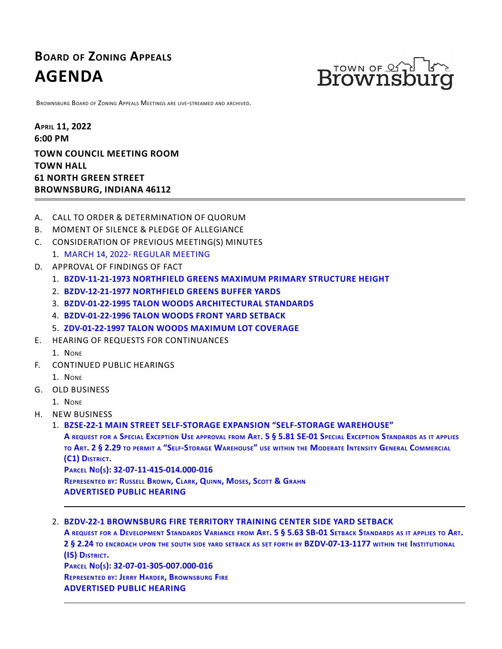# **BOARD OF ZONING APPEALS AGENDA**



BROWNSBURG BOARD OF ZONING APPEALS MEETINGS ARE LIVE-STREAMED AND ARCHIVED.

**APRIL 11, 2022 6:00 PM TOWN COUNCIL MEETING ROOM TOWN HALL 61 NORTH GREEN STREET BROWNSBURG, INDIANA 46112**

- A. CALL TO ORDER & DETERMINATION OF QUORUM
- B. MOMENT OF SILENCE & PLEDGE OF ALLEGIANCE
- C. CONSIDERATION OF PREVIOUS MEETING(S) MINUTES
- 1. MARCH 14, 2022- [REGULAR](http://packets.shea.agendease.com/getdoc.php?cID=10000128&bID=165&mID=5704&iID=49282) MEETING
- D. APPROVAL OF FINDINGS OF FACT
	- 1. **[BZDV-11-21-1973](http://packets.shea.agendease.com/getdoc.php?cID=10000128&bID=165&mID=5704&iID=49283) NORTHFIELD GREENS MAXIMUM PRIMARY STRUCTURE HEIGHT**
	- 2. **[BZDV-12-21-1977](http://packets.shea.agendease.com/getdoc.php?cID=10000128&bID=165&mID=5704&iID=49284) NORTHFIELD GREENS BUFFER YARDS**
	- 3. **BZDV-01-22-1995 TALON WOODS [ARCHITECTURAL](http://packets.shea.agendease.com/getdoc.php?cID=10000128&bID=165&mID=5704&iID=49285) STANDARDS**
	- 4. **[BZDV-01-22-1996](http://packets.shea.agendease.com/getdoc.php?cID=10000128&bID=165&mID=5704&iID=49286) TALON WOODS FRONT YARD SETBACK**
	- 5. **[ZDV-01-22-1997](http://packets.shea.agendease.com/getdoc.php?cID=10000128&bID=165&mID=5704&iID=49287) TALON WOODS MAXIMUM LOT COVERAGE**
- E. HEARING OF REQUESTS FOR CONTINUANCES
	- 1. NONE
- F. CONTINUED PUBLIC HEARINGS
	- 1. NONE
- G. OLD BUSINESS
	- 1. NONE
- H. NEW BUSINESS

1. BZSE-22-1 MAIN STREET SELF-STORAGE EXPANSION ["SELF-STORAGE](http://packets.shea.agendease.com/getdoc.php?cID=10000128&bID=165&mID=5704&iID=49288) WAREHOUSE"<br>A request for a Special Exception Use approval from Art. 5 § 5.81 SE-01 Special Exception Standards as it applies

TO ART. 2 § 2.29 TO PERMIT A "SELF-STORAGE WAREHOUSE" USE WITHIN THE MODERATE INTENSITY GENERAL COMMERCIAL **(C1) <sup>D</sup>ISTRICT. <sup>P</sup>ARCEL <sup>N</sup>O(S): 32-07-11-415-014.000-016**

REPRESENTED BY: RUSSELL BROWN, CLARK, QUINN, MOSES, SCOTT & GRAHN **ADVERTISED PUBLIC HEARING**

#### 2. **BZDV-22-1 [BROWNSBURG](http://packets.shea.agendease.com/getdoc.php?cID=10000128&bID=165&mID=5704&iID=49289) FIRE TERRITORY TRAINING CENTER SIDE YARD SETBACK**

A REQUEST FOR A DEVELOPMENT STANDARDS VARIANCE FROM ART. 5 § 5.63 SB-01 SETBACK STANDARDS AS IT APPLIES TO ART.<br>2 § 2.24 to encroach upon the south side yard setback as set forth by BZDV-07-13-1177 within the Institutional **(IS) <sup>D</sup>ISTRICT. <sup>P</sup>ARCEL <sup>N</sup>O(S): 32-07-01-305-007.000-016**

**REPRESENTED BY: JERRY HARDER, BROWNSBURG FIRE**

**ADVERTISED PUBLIC HEARING**